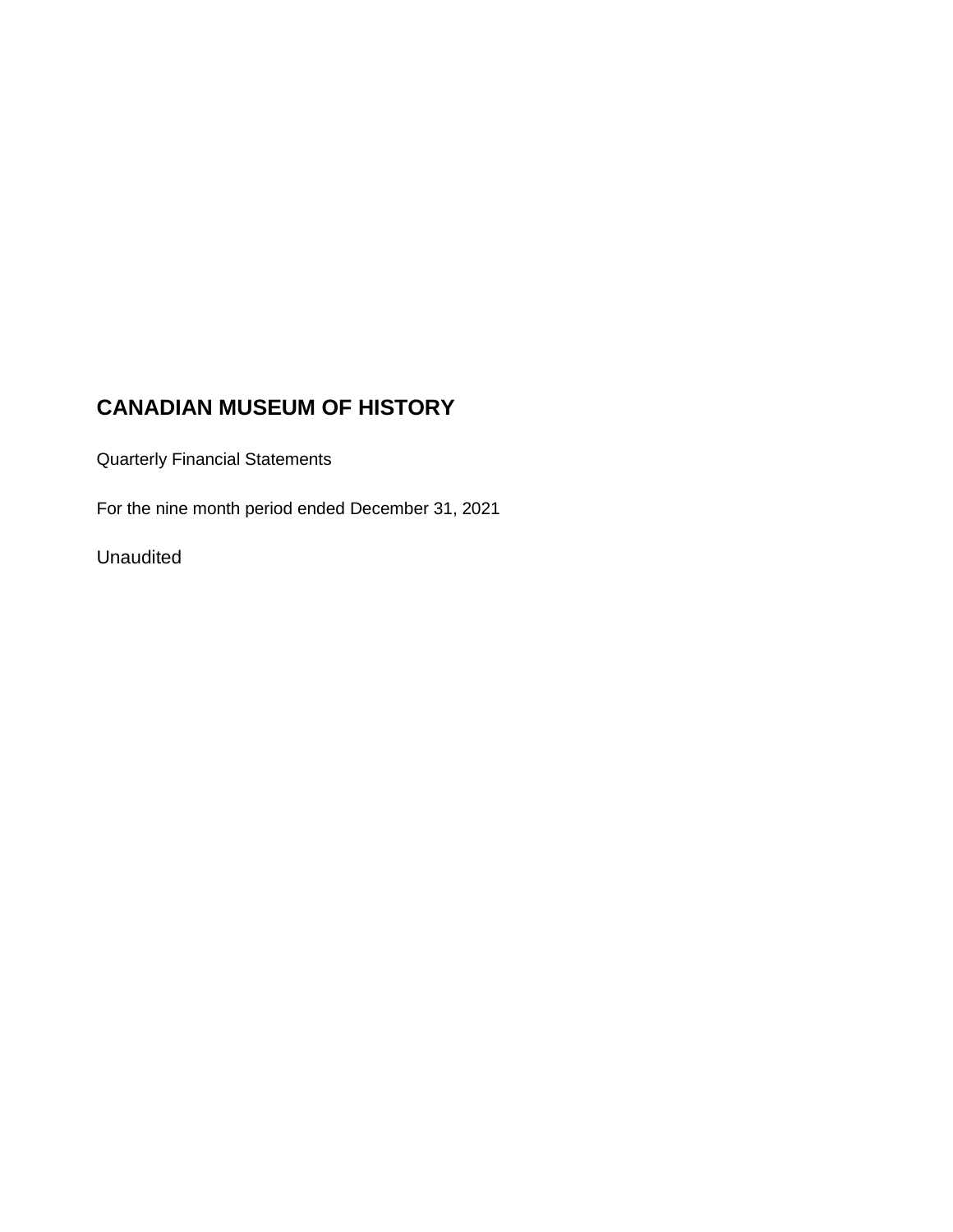### **CANADIAN MUSEUM OF HISTORY**

Quarterly Financial Statements

For the nine month period ended December 31, 2021

Unaudited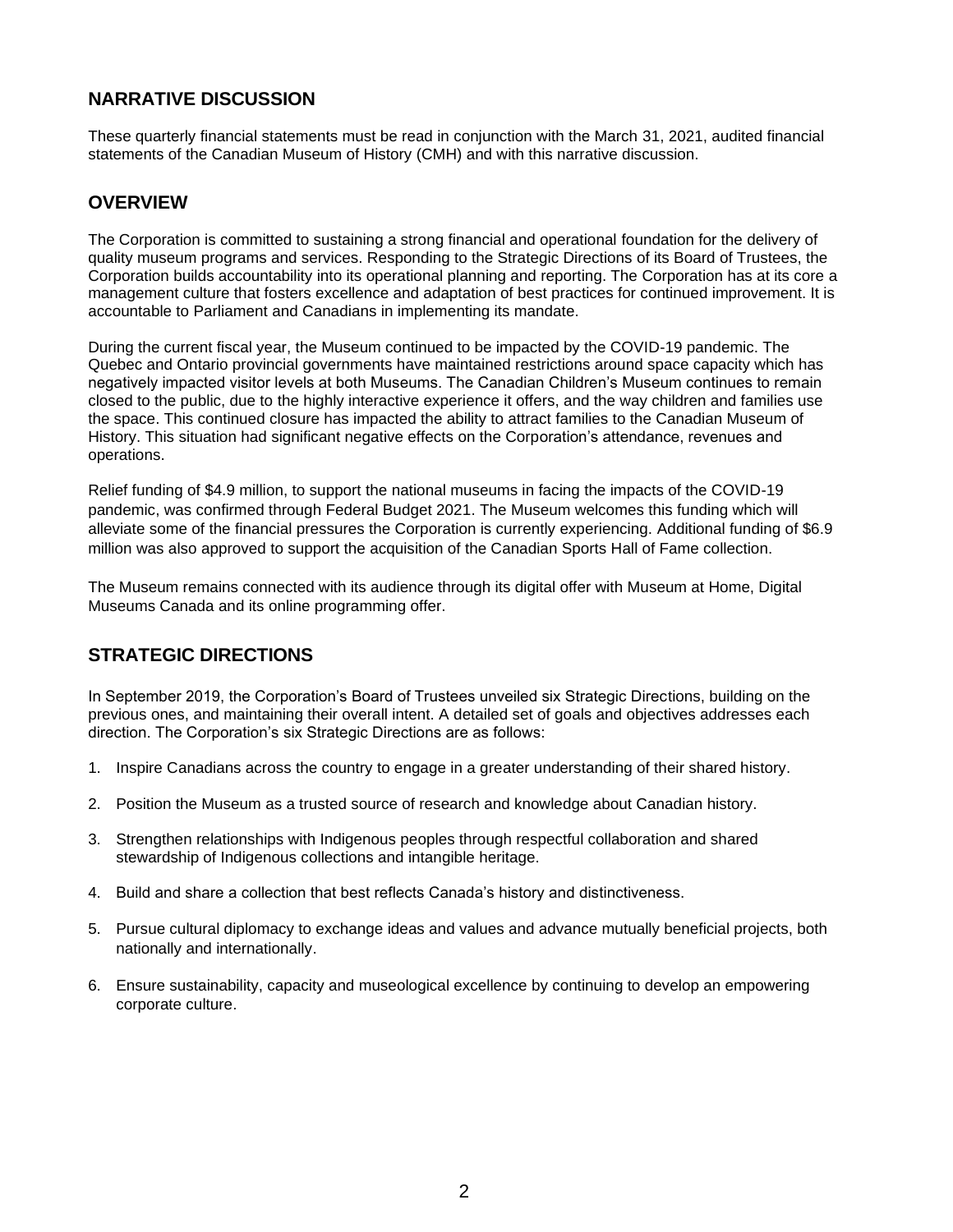### **NARRATIVE DISCUSSION**

These quarterly financial statements must be read in conjunction with the March 31, 2021, audited financial statements of the Canadian Museum of History (CMH) and with this narrative discussion.

### **OVERVIEW**

The Corporation is committed to sustaining a strong financial and operational foundation for the delivery of quality museum programs and services. Responding to the Strategic Directions of its Board of Trustees, the Corporation builds accountability into its operational planning and reporting. The Corporation has at its core a management culture that fosters excellence and adaptation of best practices for continued improvement. It is accountable to Parliament and Canadians in implementing its mandate.

During the current fiscal year, the Museum continued to be impacted by the COVID-19 pandemic. The Quebec and Ontario provincial governments have maintained restrictions around space capacity which has negatively impacted visitor levels at both Museums. The Canadian Children's Museum continues to remain closed to the public, due to the highly interactive experience it offers, and the way children and families use the space. This continued closure has impacted the ability to attract families to the Canadian Museum of History. This situation had significant negative effects on the Corporation's attendance, revenues and operations.

Relief funding of \$4.9 million, to support the national museums in facing the impacts of the COVID-19 pandemic, was confirmed through Federal Budget 2021. The Museum welcomes this funding which will alleviate some of the financial pressures the Corporation is currently experiencing. Additional funding of \$6.9 million was also approved to support the acquisition of the Canadian Sports Hall of Fame collection.

The Museum remains connected with its audience through its digital offer with Museum at Home, Digital Museums Canada and its online programming offer.

### **STRATEGIC DIRECTIONS**

In September 2019, the Corporation's Board of Trustees unveiled six Strategic Directions, building on the previous ones, and maintaining their overall intent. A detailed set of goals and objectives addresses each direction. The Corporation's six Strategic Directions are as follows:

- 1. Inspire Canadians across the country to engage in a greater understanding of their shared history.
- 2. Position the Museum as a trusted source of research and knowledge about Canadian history.
- 3. Strengthen relationships with Indigenous peoples through respectful collaboration and shared stewardship of Indigenous collections and intangible heritage.
- 4. Build and share a collection that best reflects Canada's history and distinctiveness.
- 5. Pursue cultural diplomacy to exchange ideas and values and advance mutually beneficial projects, both nationally and internationally.
- 6. Ensure sustainability, capacity and museological excellence by continuing to develop an empowering corporate culture.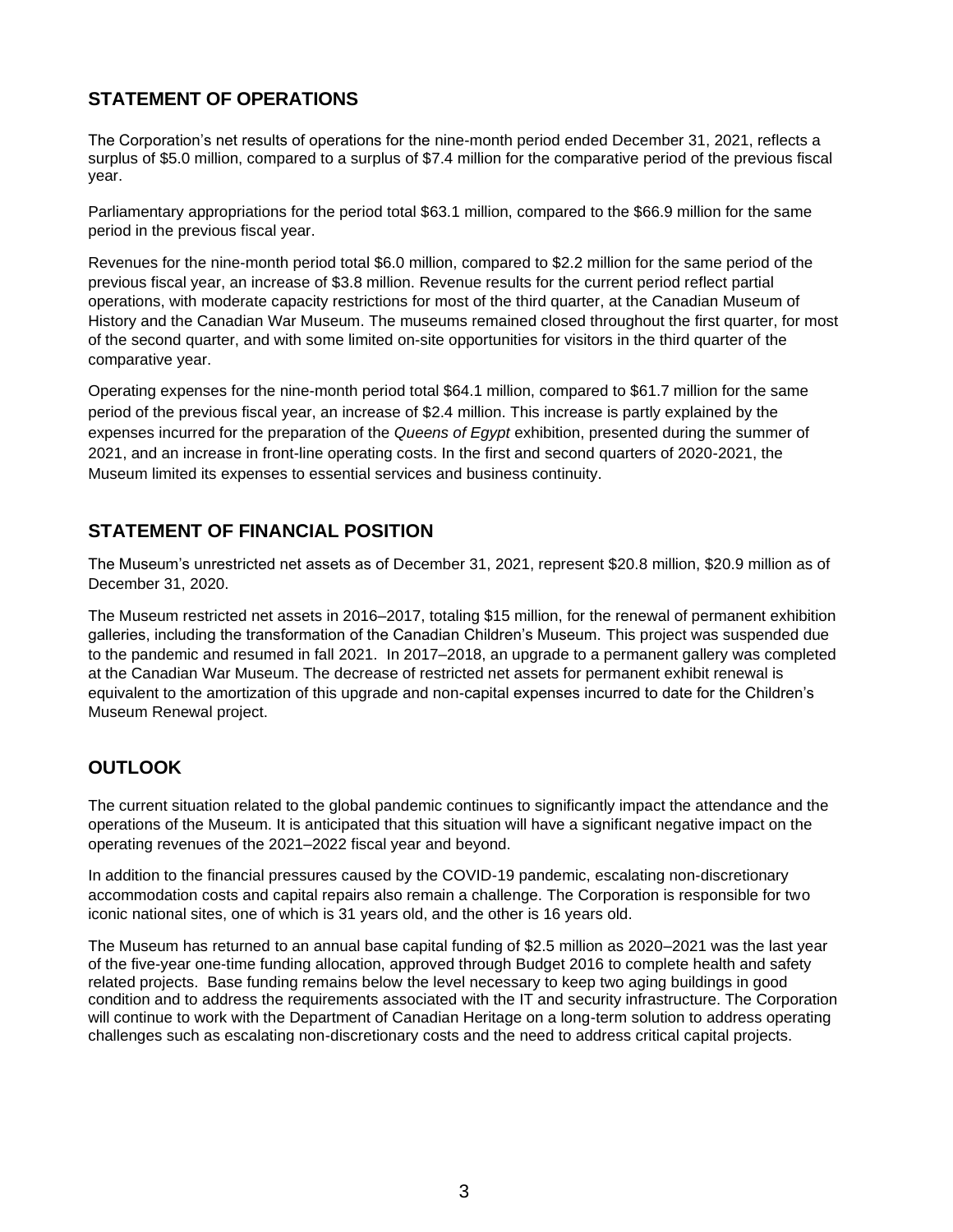### **STATEMENT OF OPERATIONS**

The Corporation's net results of operations for the nine-month period ended December 31, 2021, reflects a surplus of \$5.0 million, compared to a surplus of \$7.4 million for the comparative period of the previous fiscal year.

Parliamentary appropriations for the period total \$63.1 million, compared to the \$66.9 million for the same period in the previous fiscal year.

Revenues for the nine-month period total \$6.0 million, compared to \$2.2 million for the same period of the previous fiscal year, an increase of \$3.8 million. Revenue results for the current period reflect partial operations, with moderate capacity restrictions for most of the third quarter, at the Canadian Museum of History and the Canadian War Museum. The museums remained closed throughout the first quarter, for most of the second quarter, and with some limited on-site opportunities for visitors in the third quarter of the comparative year.

Operating expenses for the nine-month period total \$64.1 million, compared to \$61.7 million for the same period of the previous fiscal year, an increase of \$2.4 million. This increase is partly explained by the expenses incurred for the preparation of the *Queens of Egypt* exhibition, presented during the summer of 2021, and an increase in front-line operating costs. In the first and second quarters of 2020-2021, the Museum limited its expenses to essential services and business continuity.

### **STATEMENT OF FINANCIAL POSITION**

The Museum's unrestricted net assets as of December 31, 2021, represent \$20.8 million, \$20.9 million as of December 31, 2020.

The Museum restricted net assets in 2016–2017, totaling \$15 million, for the renewal of permanent exhibition galleries, including the transformation of the Canadian Children's Museum. This project was suspended due to the pandemic and resumed in fall 2021. In 2017–2018, an upgrade to a permanent gallery was completed at the Canadian War Museum. The decrease of restricted net assets for permanent exhibit renewal is equivalent to the amortization of this upgrade and non-capital expenses incurred to date for the Children's Museum Renewal project.

### **OUTLOOK**

The current situation related to the global pandemic continues to significantly impact the attendance and the operations of the Museum. It is anticipated that this situation will have a significant negative impact on the operating revenues of the 2021–2022 fiscal year and beyond.

In addition to the financial pressures caused by the COVID-19 pandemic, escalating non-discretionary accommodation costs and capital repairs also remain a challenge. The Corporation is responsible for two iconic national sites, one of which is 31 years old, and the other is 16 years old.

The Museum has returned to an annual base capital funding of \$2.5 million as 2020–2021 was the last year of the five-year one-time funding allocation, approved through Budget 2016 to complete health and safety related projects. Base funding remains below the level necessary to keep two aging buildings in good condition and to address the requirements associated with the IT and security infrastructure. The Corporation will continue to work with the Department of Canadian Heritage on a long-term solution to address operating challenges such as escalating non-discretionary costs and the need to address critical capital projects.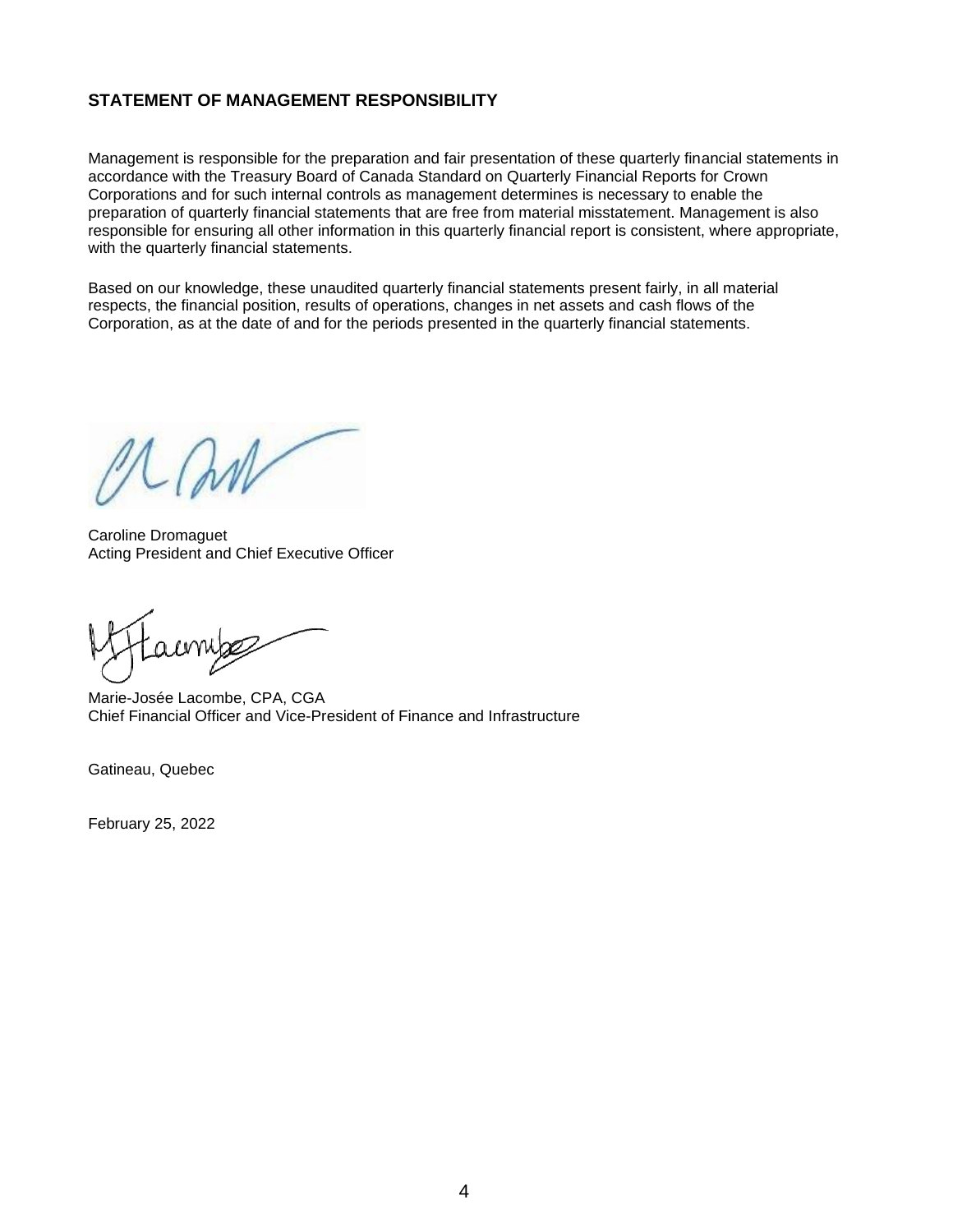#### **STATEMENT OF MANAGEMENT RESPONSIBILITY**

Management is responsible for the preparation and fair presentation of these quarterly financial statements in accordance with the Treasury Board of Canada Standard on Quarterly Financial Reports for Crown Corporations and for such internal controls as management determines is necessary to enable the preparation of quarterly financial statements that are free from material misstatement. Management is also responsible for ensuring all other information in this quarterly financial report is consistent, where appropriate, with the quarterly financial statements.

Based on our knowledge, these unaudited quarterly financial statements present fairly, in all material respects, the financial position, results of operations, changes in net assets and cash flows of the Corporation, as at the date of and for the periods presented in the quarterly financial statements.

Caroline Dromaguet Acting President and Chief Executive Officer

Marie-Josée Lacombe, CPA, CGA Chief Financial Officer and Vice-President of Finance and Infrastructure

Gatineau, Quebec

February 25, 2022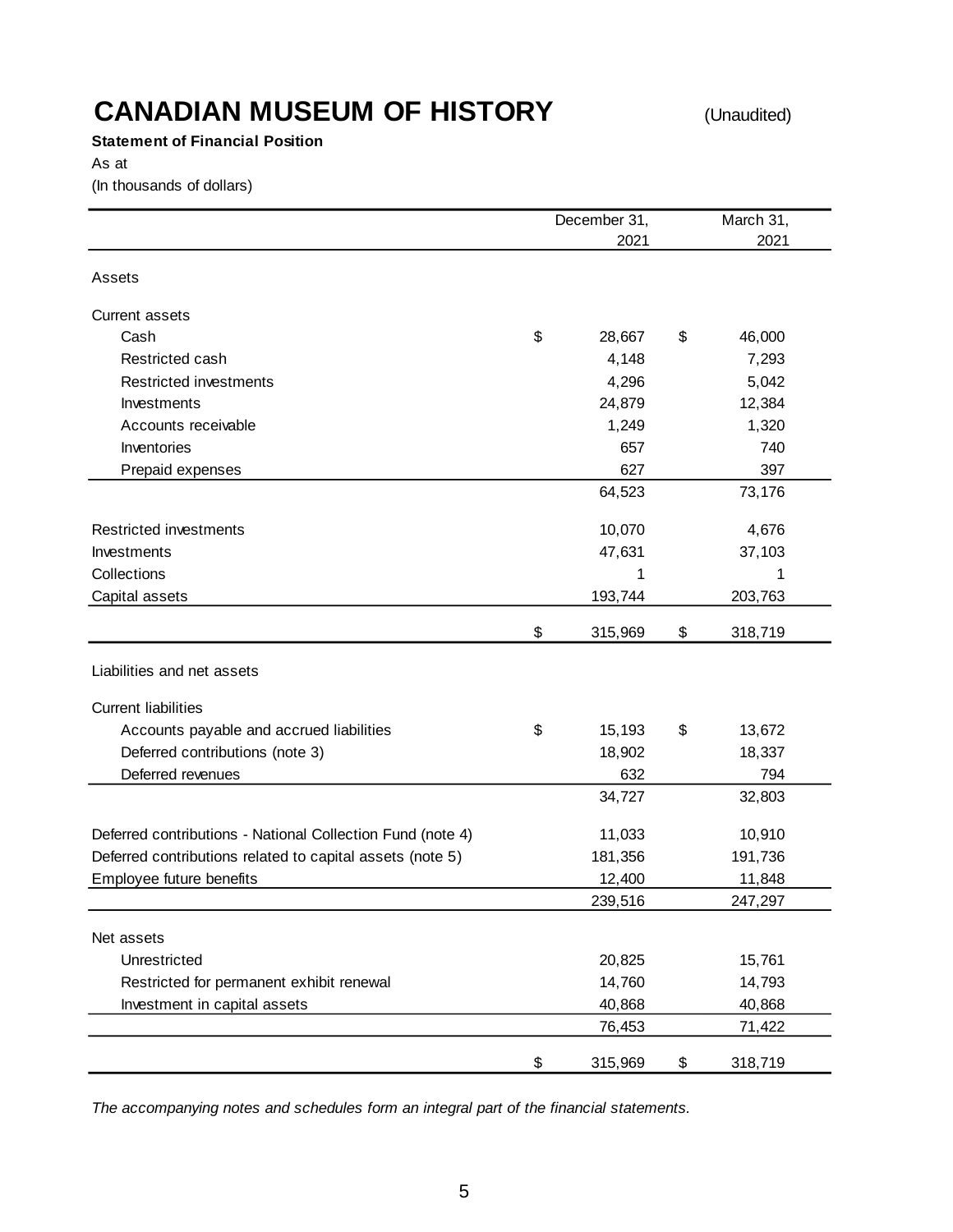**Statement of Financial Position**

As at

(In thousands of dollars)

|                                                            | December 31,  | March 31,     |
|------------------------------------------------------------|---------------|---------------|
|                                                            | 2021          | 2021          |
| Assets                                                     |               |               |
| <b>Current assets</b>                                      |               |               |
| Cash                                                       | \$<br>28,667  | \$<br>46,000  |
| Restricted cash                                            | 4,148         | 7,293         |
| Restricted investments                                     | 4,296         | 5,042         |
| Investments                                                | 24,879        | 12,384        |
| Accounts receivable                                        | 1,249         | 1,320         |
| Inventories                                                | 657           | 740           |
| Prepaid expenses                                           | 627           | 397           |
|                                                            | 64,523        | 73,176        |
| Restricted investments                                     | 10,070        | 4,676         |
| Investments                                                | 47,631        | 37,103        |
| Collections                                                | 1             | 1             |
| Capital assets                                             | 193,744       | 203,763       |
|                                                            | \$<br>315,969 | \$<br>318,719 |
| Liabilities and net assets                                 |               |               |
| <b>Current liabilities</b>                                 |               |               |
| Accounts payable and accrued liabilities                   | \$<br>15,193  | \$<br>13,672  |
| Deferred contributions (note 3)                            | 18,902        | 18,337        |
| Deferred revenues                                          | 632           | 794           |
|                                                            | 34,727        | 32,803        |
| Deferred contributions - National Collection Fund (note 4) | 11,033        | 10,910        |
| Deferred contributions related to capital assets (note 5)  | 181,356       | 191,736       |
| Employee future benefits                                   | 12,400        | 11,848        |
|                                                            | 239,516       | 247,297       |
| Net assets                                                 |               |               |
| Unrestricted                                               | 20,825        | 15,761        |
| Restricted for permanent exhibit renewal                   | 14,760        | 14,793        |
| Investment in capital assets                               | 40,868        | 40,868        |
|                                                            | 76,453        | 71,422        |
|                                                            | \$<br>315,969 | \$<br>318,719 |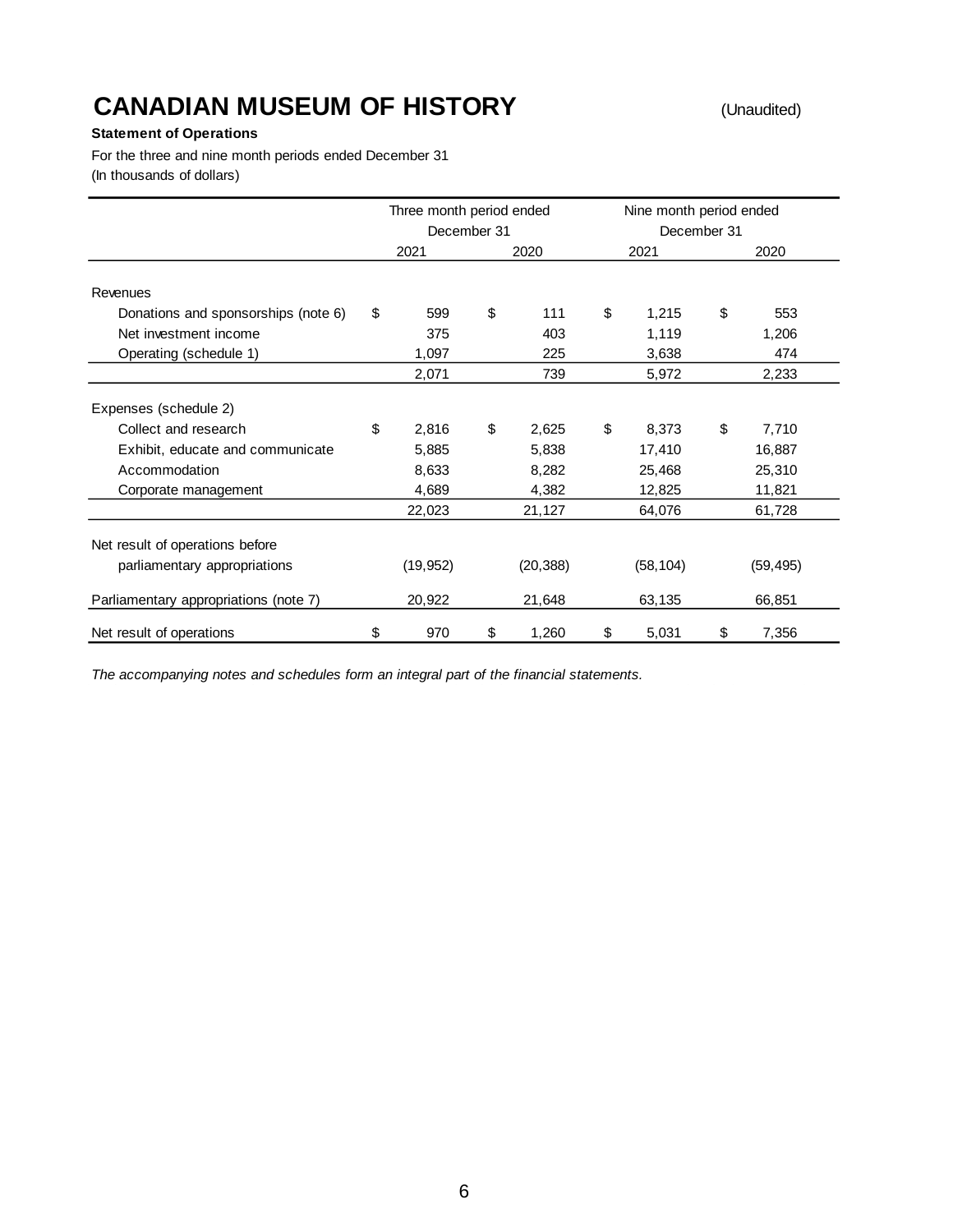#### **Statement of Operations**

For the three and nine month periods ended December 31 (In thousands of dollars)

|                                       | Three month period ended<br>December 31 |           |    |           |    | Nine month period ended<br>December 31 |       |           |
|---------------------------------------|-----------------------------------------|-----------|----|-----------|----|----------------------------------------|-------|-----------|
|                                       |                                         | 2021      |    | 2020      |    | 2021                                   |       | 2020      |
| Revenues                              |                                         |           |    |           |    |                                        |       |           |
| Donations and sponsorships (note 6)   | \$                                      | 599       | \$ | 111       | \$ | 1,215                                  | \$    | 553       |
| Net investment income                 |                                         | 375       |    | 403       |    | 1,119                                  |       | 1,206     |
| Operating (schedule 1)                |                                         | 1,097     |    | 225       |    | 3,638                                  |       | 474       |
|                                       |                                         | 2,071     |    | 739       |    | 5,972                                  | 2,233 |           |
| Expenses (schedule 2)                 |                                         |           |    |           |    |                                        |       |           |
| Collect and research                  | \$                                      | 2,816     | \$ | 2,625     | \$ | 8,373                                  | \$    | 7,710     |
| Exhibit, educate and communicate      |                                         | 5,885     |    | 5,838     |    | 17,410                                 |       | 16,887    |
| Accommodation                         |                                         | 8,633     |    | 8,282     |    | 25,468                                 |       | 25,310    |
| Corporate management                  |                                         | 4,689     |    | 4,382     |    | 12,825                                 |       | 11,821    |
|                                       |                                         | 22,023    |    | 21,127    |    | 64,076                                 |       | 61,728    |
| Net result of operations before       |                                         |           |    |           |    |                                        |       |           |
| parliamentary appropriations          |                                         | (19, 952) |    | (20, 388) |    | (58, 104)                              |       | (59, 495) |
| Parliamentary appropriations (note 7) |                                         | 20,922    |    | 21,648    |    | 63,135                                 |       | 66,851    |
| Net result of operations              | \$                                      | 970       | \$ | 1,260     | \$ | 5,031                                  | \$    | 7,356     |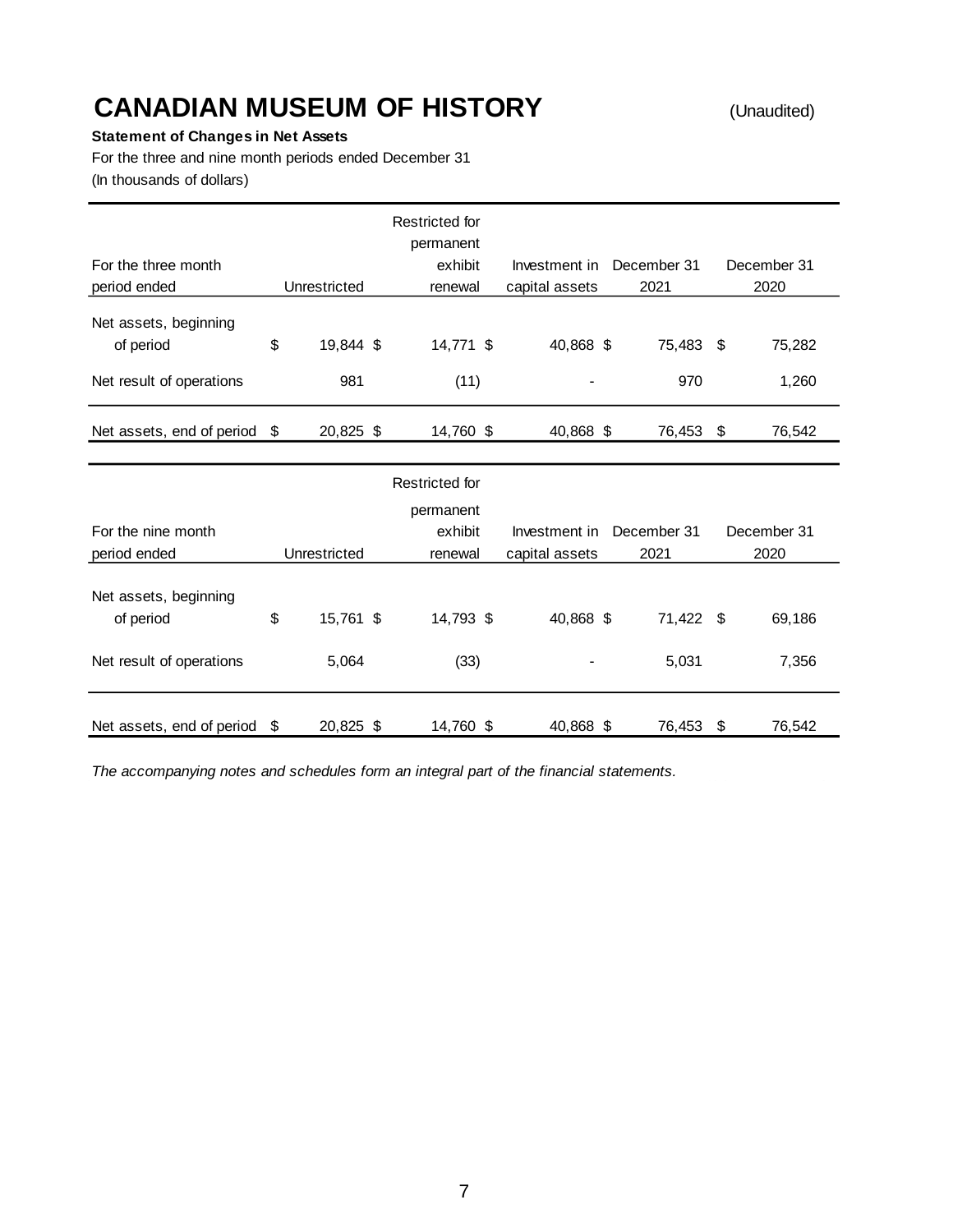#### **Statement of Changes in Net Assets**

For the three and nine month periods ended December 31 (In thousands of dollars)

| For the three month<br>period ended                            | Unrestricted           | Restricted for<br>permanent<br>exhibit<br>renewal | Investment in December 31<br>capital assets | 2021             |      | December 31<br>2020 |
|----------------------------------------------------------------|------------------------|---------------------------------------------------|---------------------------------------------|------------------|------|---------------------|
| Net assets, beginning<br>of period<br>Net result of operations | \$<br>19,844 \$<br>981 | 14,771 \$<br>(11)                                 | 40,868 \$<br>-                              | 75,483 \$<br>970 |      | 75,282<br>1,260     |
| Net assets, end of period                                      | \$<br>20,825 \$        | 14,760 \$                                         | 40,868 \$                                   | 76,453           | - \$ | 76,542              |

|                                                                |      |                    | Restricted for    |                |                    |                 |
|----------------------------------------------------------------|------|--------------------|-------------------|----------------|--------------------|-----------------|
|                                                                |      |                    | permanent         |                |                    |                 |
| For the nine month                                             |      |                    | exhibit           | Investment in  | December 31        | December 31     |
| period ended                                                   |      | Unrestricted       | renewal           | capital assets | 2021               | 2020            |
| Net assets, beginning<br>of period<br>Net result of operations | \$   | 15,761 \$<br>5,064 | 14,793 \$<br>(33) | 40,868 \$      | 71,422 \$<br>5,031 | 69,186<br>7,356 |
| Net assets, end of period                                      | - \$ | 20,825 \$          | 14,760 \$         | 40,868 \$      | 76,453 \$          | 76.542          |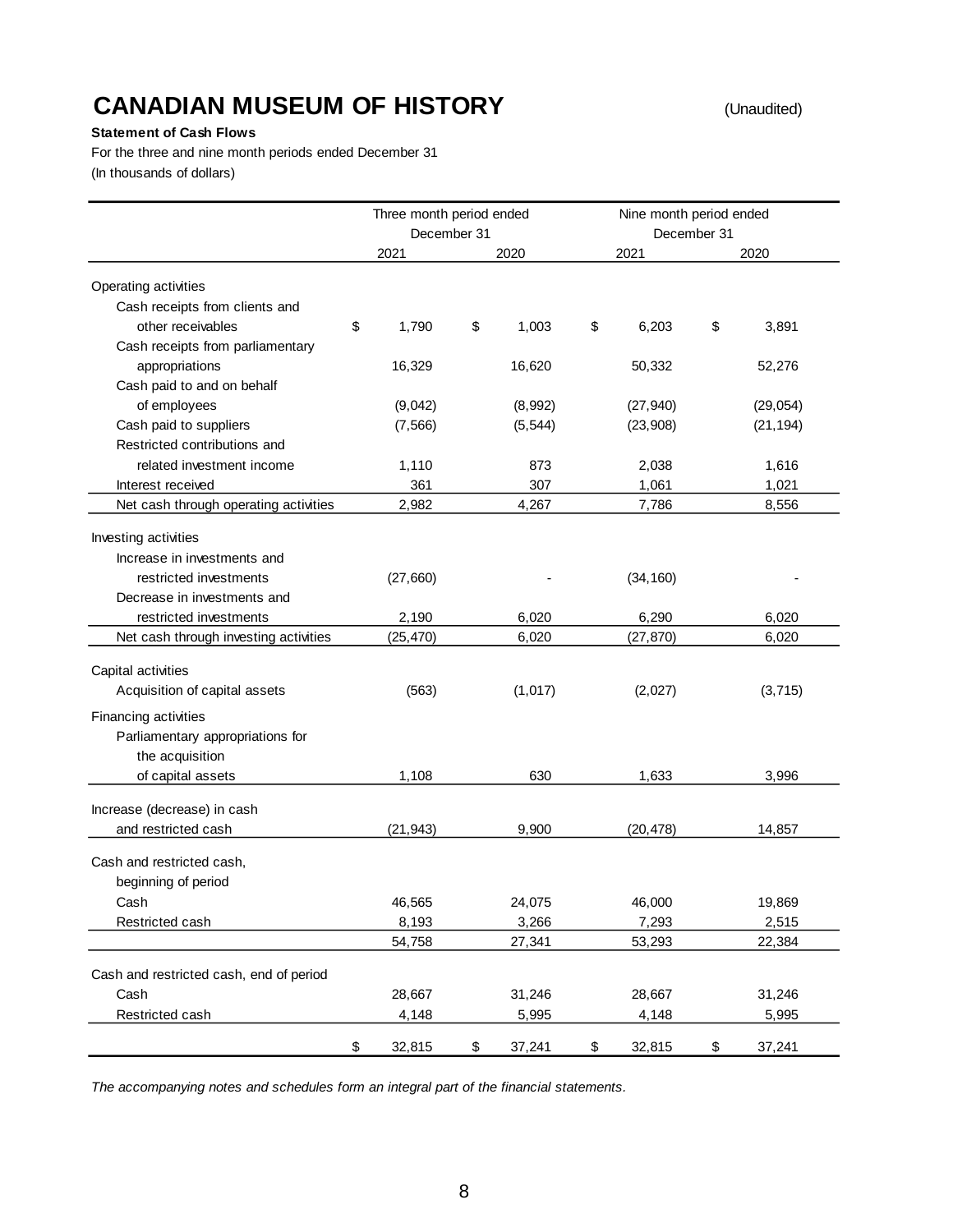### **CANADIAN MUSEUM OF HISTORY**

(Unaudited)

#### **Statement of Cash Flows**

For the three and nine month periods ended December 31 (In thousands of dollars)

|                                         | Three month period ended<br>December 31 |              | Nine month period ended | December 31 |           |
|-----------------------------------------|-----------------------------------------|--------------|-------------------------|-------------|-----------|
|                                         | 2021                                    | 2020         | 2021                    |             | 2020      |
| Operating activities                    |                                         |              |                         |             |           |
| Cash receipts from clients and          |                                         |              |                         |             |           |
| other receivables                       | \$<br>1,790                             | \$<br>1,003  | \$<br>6,203             | \$          | 3,891     |
| Cash receipts from parliamentary        |                                         |              |                         |             |           |
| appropriations                          | 16,329                                  | 16,620       | 50,332                  |             | 52,276    |
| Cash paid to and on behalf              |                                         |              |                         |             |           |
| of employees                            | (9,042)                                 | (8,992)      | (27, 940)               |             | (29, 054) |
| Cash paid to suppliers                  | (7, 566)                                | (5, 544)     | (23,908)                |             | (21, 194) |
| Restricted contributions and            |                                         |              |                         |             |           |
| related investment income               | 1,110                                   | 873          | 2,038                   |             | 1,616     |
| Interest received                       | 361                                     | 307          | 1,061                   |             | 1,021     |
| Net cash through operating activities   | 2,982                                   | 4,267        | 7,786                   |             | 8,556     |
|                                         |                                         |              |                         |             |           |
| Investing activities                    |                                         |              |                         |             |           |
| Increase in investments and             |                                         |              |                         |             |           |
| restricted investments                  | (27,660)                                |              | (34, 160)               |             |           |
| Decrease in investments and             |                                         |              |                         |             |           |
| restricted investments                  | 2,190                                   | 6,020        | 6,290                   |             | 6,020     |
| Net cash through investing activities   | (25, 470)                               | 6,020        | (27, 870)               |             | 6,020     |
| Capital activities                      |                                         |              |                         |             |           |
|                                         |                                         |              |                         |             |           |
| Acquisition of capital assets           | (563)                                   | (1,017)      | (2,027)                 |             | (3,715)   |
| Financing activities                    |                                         |              |                         |             |           |
| Parliamentary appropriations for        |                                         |              |                         |             |           |
| the acquisition                         |                                         |              |                         |             |           |
| of capital assets                       | 1,108                                   | 630          | 1,633                   |             | 3,996     |
| Increase (decrease) in cash             |                                         |              |                         |             |           |
| and restricted cash                     | (21, 943)                               | 9,900        | (20, 478)               |             | 14,857    |
|                                         |                                         |              |                         |             |           |
| Cash and restricted cash,               |                                         |              |                         |             |           |
| beginning of period                     |                                         |              |                         |             |           |
| Cash                                    | 46,565                                  | 24,075       | 46,000                  |             | 19,869    |
| Restricted cash                         | 8,193                                   | 3,266        | 7,293                   |             | 2,515     |
|                                         | 54,758                                  | 27,341       | 53,293                  |             | 22,384    |
| Cash and restricted cash, end of period |                                         |              |                         |             |           |
| Cash                                    | 28,667                                  | 31,246       | 28,667                  |             | 31,246    |
| Restricted cash                         | 4,148                                   | 5,995        | 4,148                   |             | 5,995     |
|                                         |                                         |              |                         |             |           |
|                                         | \$<br>32,815                            | \$<br>37,241 | \$<br>32,815            | \$          | 37,241    |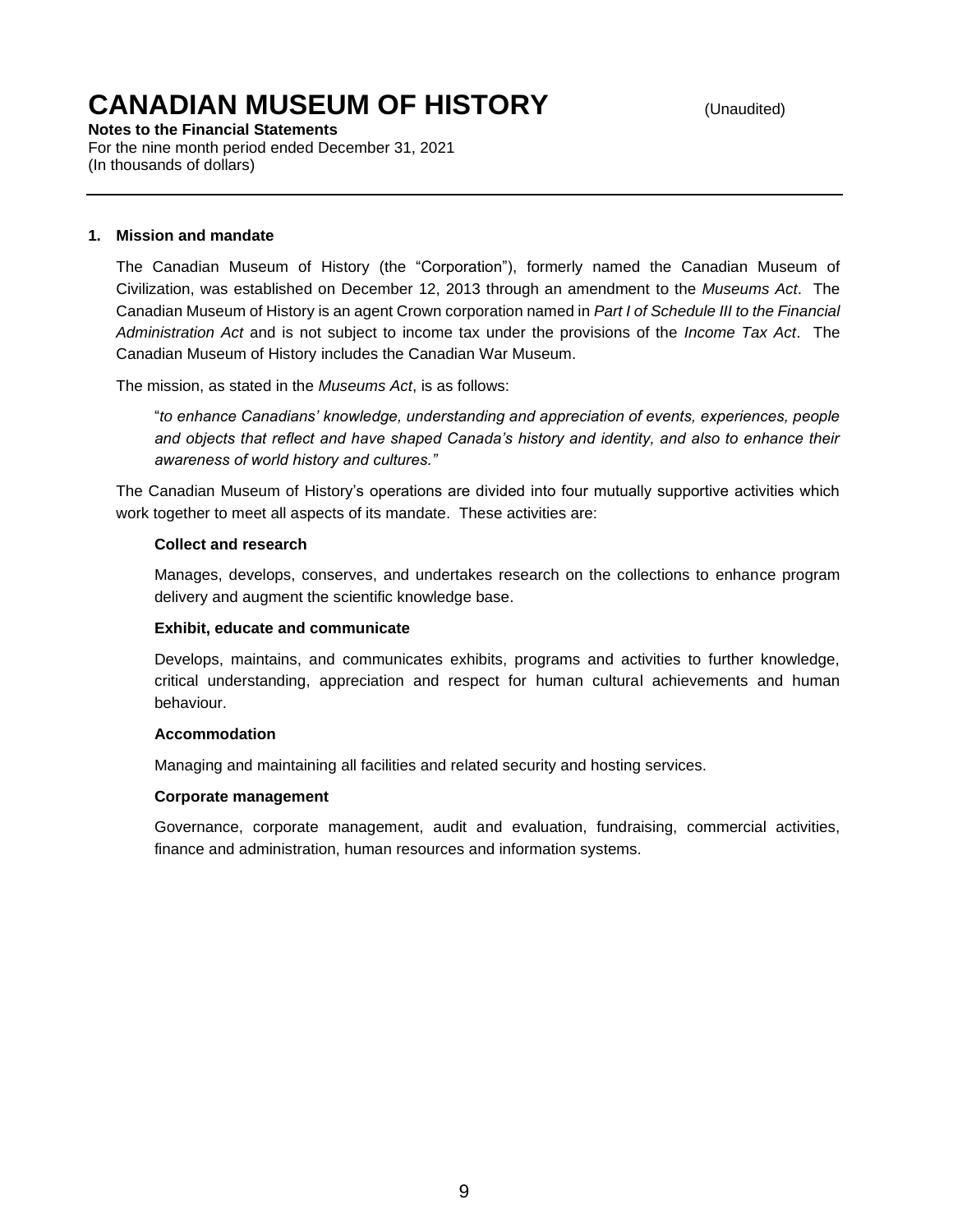**Notes to the Financial Statements**  For the nine month period ended December 31, 2021 (In thousands of dollars)

#### **1. Mission and mandate**

The Canadian Museum of History (the "Corporation"), formerly named the Canadian Museum of Civilization, was established on December 12, 2013 through an amendment to the *Museums Act*. The Canadian Museum of History is an agent Crown corporation named in *Part I of Schedule III to the Financial Administration Act* and is not subject to income tax under the provisions of the *Income Tax Act*. The Canadian Museum of History includes the Canadian War Museum.

The mission, as stated in the *Museums Act*, is as follows:

"*to enhance Canadians' knowledge, understanding and appreciation of events, experiences, people and objects that reflect and have shaped Canada's history and identity, and also to enhance their awareness of world history and cultures."*

The Canadian Museum of History's operations are divided into four mutually supportive activities which work together to meet all aspects of its mandate. These activities are:

#### **Collect and research**

Manages, develops, conserves, and undertakes research on the collections to enhance program delivery and augment the scientific knowledge base.

#### **Exhibit, educate and communicate**

Develops, maintains, and communicates exhibits, programs and activities to further knowledge, critical understanding, appreciation and respect for human cultural achievements and human behaviour.

#### **Accommodation**

Managing and maintaining all facilities and related security and hosting services.

#### **Corporate management**

Governance, corporate management, audit and evaluation, fundraising, commercial activities, finance and administration, human resources and information systems.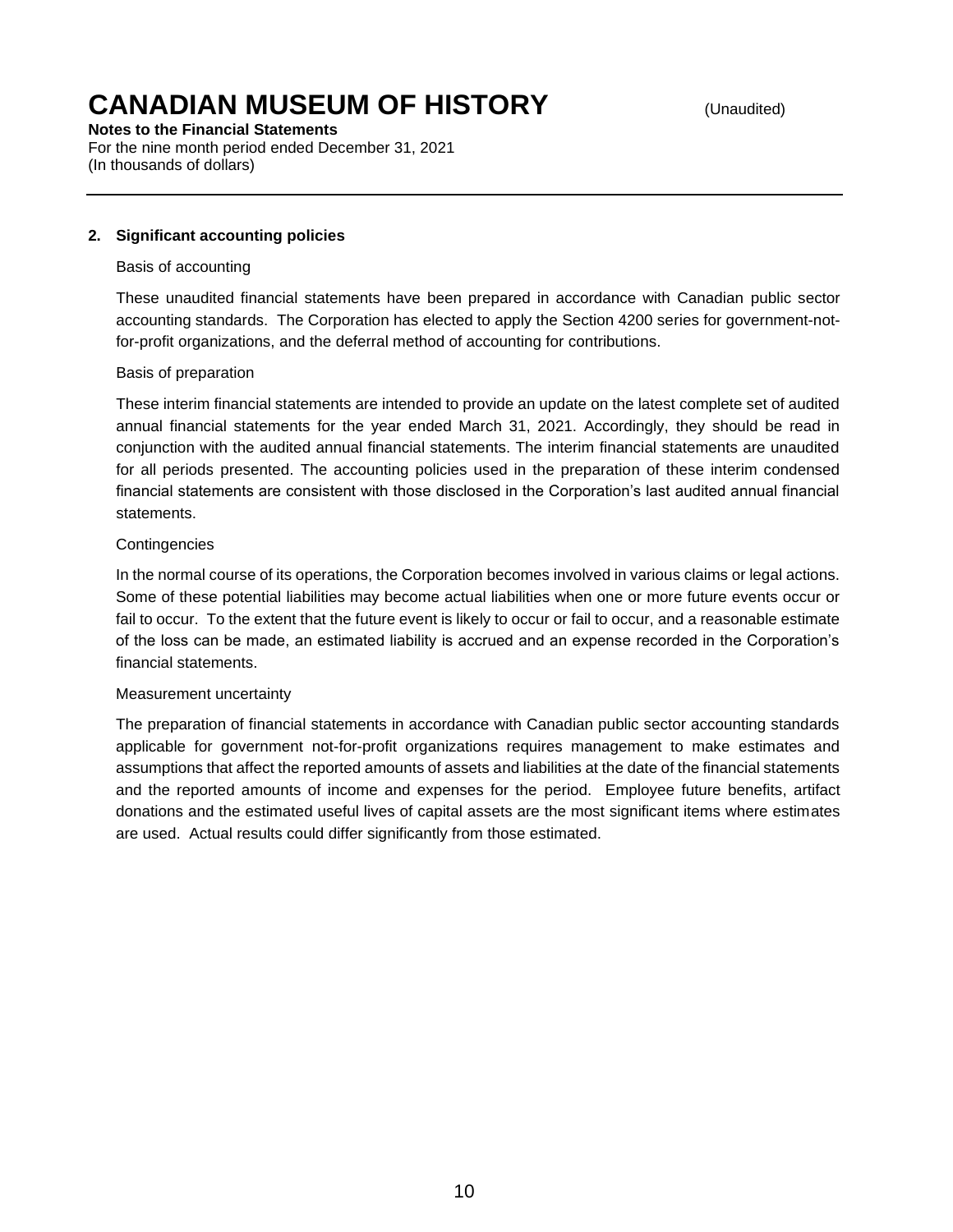**Notes to the Financial Statements**  For the nine month period ended December 31, 2021

(In thousands of dollars)

#### **2. Significant accounting policies**

#### Basis of accounting

These unaudited financial statements have been prepared in accordance with Canadian public sector accounting standards. The Corporation has elected to apply the Section 4200 series for government-notfor-profit organizations, and the deferral method of accounting for contributions.

#### Basis of preparation

These interim financial statements are intended to provide an update on the latest complete set of audited annual financial statements for the year ended March 31, 2021. Accordingly, they should be read in conjunction with the audited annual financial statements. The interim financial statements are unaudited for all periods presented. The accounting policies used in the preparation of these interim condensed financial statements are consistent with those disclosed in the Corporation's last audited annual financial statements.

#### **Contingencies**

In the normal course of its operations, the Corporation becomes involved in various claims or legal actions. Some of these potential liabilities may become actual liabilities when one or more future events occur or fail to occur. To the extent that the future event is likely to occur or fail to occur, and a reasonable estimate of the loss can be made, an estimated liability is accrued and an expense recorded in the Corporation's financial statements.

#### Measurement uncertainty

The preparation of financial statements in accordance with Canadian public sector accounting standards applicable for government not-for-profit organizations requires management to make estimates and assumptions that affect the reported amounts of assets and liabilities at the date of the financial statements and the reported amounts of income and expenses for the period. Employee future benefits, artifact donations and the estimated useful lives of capital assets are the most significant items where estimates are used. Actual results could differ significantly from those estimated.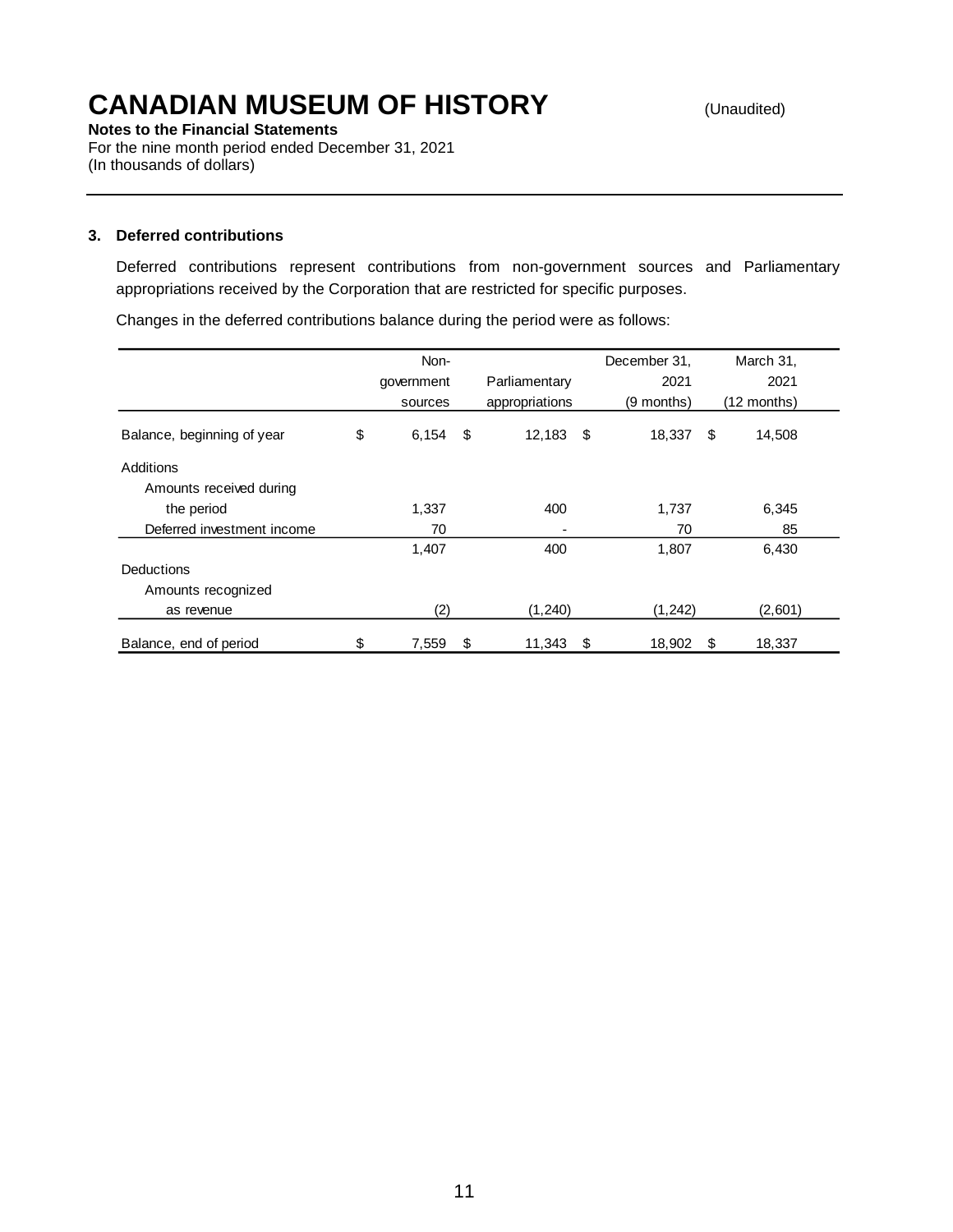**Notes to the Financial Statements** For the nine month period ended December 31, 2021 (In thousands of dollars)

#### **3. Deferred contributions**

Deferred contributions represent contributions from non-government sources and Parliamentary appropriations received by the Corporation that are restricted for specific purposes.

Changes in the deferred contributions balance during the period were as follows:

|                            | Non-        |      |                | December 31. |      | March 31,   |
|----------------------------|-------------|------|----------------|--------------|------|-------------|
|                            | government  |      | Parliamentary  | 2021         |      | 2021        |
|                            | sources     |      | appropriations | (9 months)   |      | (12 months) |
| Balance, beginning of year | \$<br>6,154 | - \$ | $12,183$ \$    | 18,337       | - \$ | 14,508      |
| Additions                  |             |      |                |              |      |             |
| Amounts received during    |             |      |                |              |      |             |
| the period                 | 1,337       |      | 400            | 1,737        |      | 6,345       |
| Deferred investment income | 70          |      | ٠              | 70           |      | 85          |
|                            | 1,407       |      | 400            | 1,807        |      | 6,430       |
| <b>Deductions</b>          |             |      |                |              |      |             |
| Amounts recognized         |             |      |                |              |      |             |
| as revenue                 | (2)         |      | (1,240)        | (1, 242)     |      | (2,601)     |
| Balance, end of period     | \$<br>7,559 | \$   | 11,343         | \$<br>18,902 | \$   | 18,337      |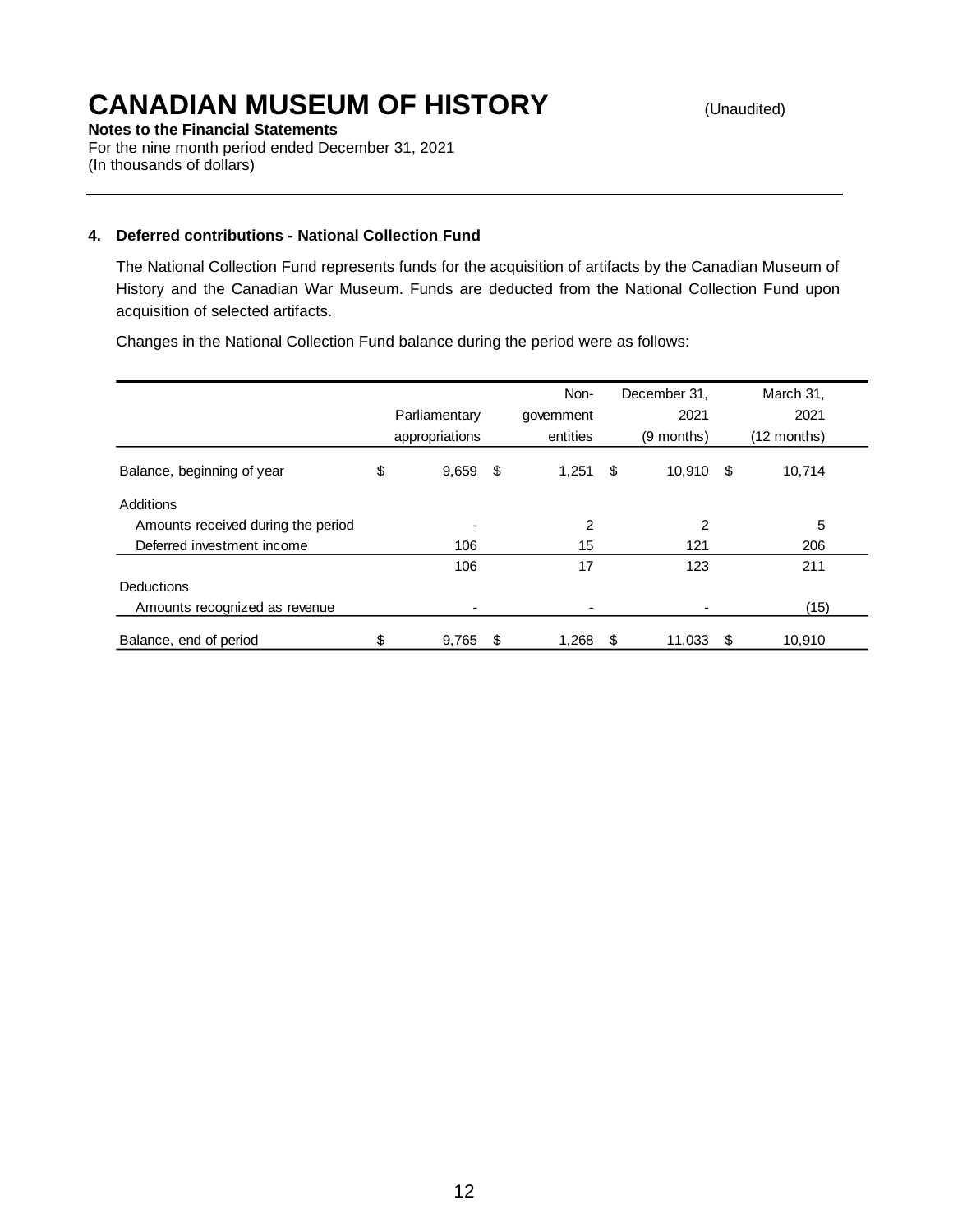**Notes to the Financial Statements**

For the nine month period ended December 31, 2021 (In thousands of dollars)

### **4. Deferred contributions - National Collection Fund**

The National Collection Fund represents funds for the acquisition of artifacts by the Canadian Museum of History and the Canadian War Museum. Funds are deducted from the National Collection Fund upon acquisition of selected artifacts.

Changes in the National Collection Fund balance during the period were as follows:

|                                    | Parliamentary<br>appropriations | Non-<br>government<br>entities | December 31,<br>2021<br>$(9$ months) |      | March 31,<br>2021<br>$(12$ months) |
|------------------------------------|---------------------------------|--------------------------------|--------------------------------------|------|------------------------------------|
| Balance, beginning of year         | \$<br>$9,659$ \$                | 1,251                          | \$<br>10,910                         | - \$ | 10,714                             |
| Additions                          |                                 |                                |                                      |      |                                    |
| Amounts received during the period |                                 | 2                              | $\overline{2}$                       |      | 5                                  |
| Deferred investment income         | 106                             | 15                             | 121                                  |      | 206                                |
|                                    | 106                             | 17                             | 123                                  |      | 211                                |
| <b>Deductions</b>                  |                                 |                                |                                      |      |                                    |
| Amounts recognized as revenue      |                                 |                                |                                      |      | (15)                               |
| Balance, end of period             | \$<br>9,765                     | \$<br>1,268                    | \$<br>11,033                         | S    | 10,910                             |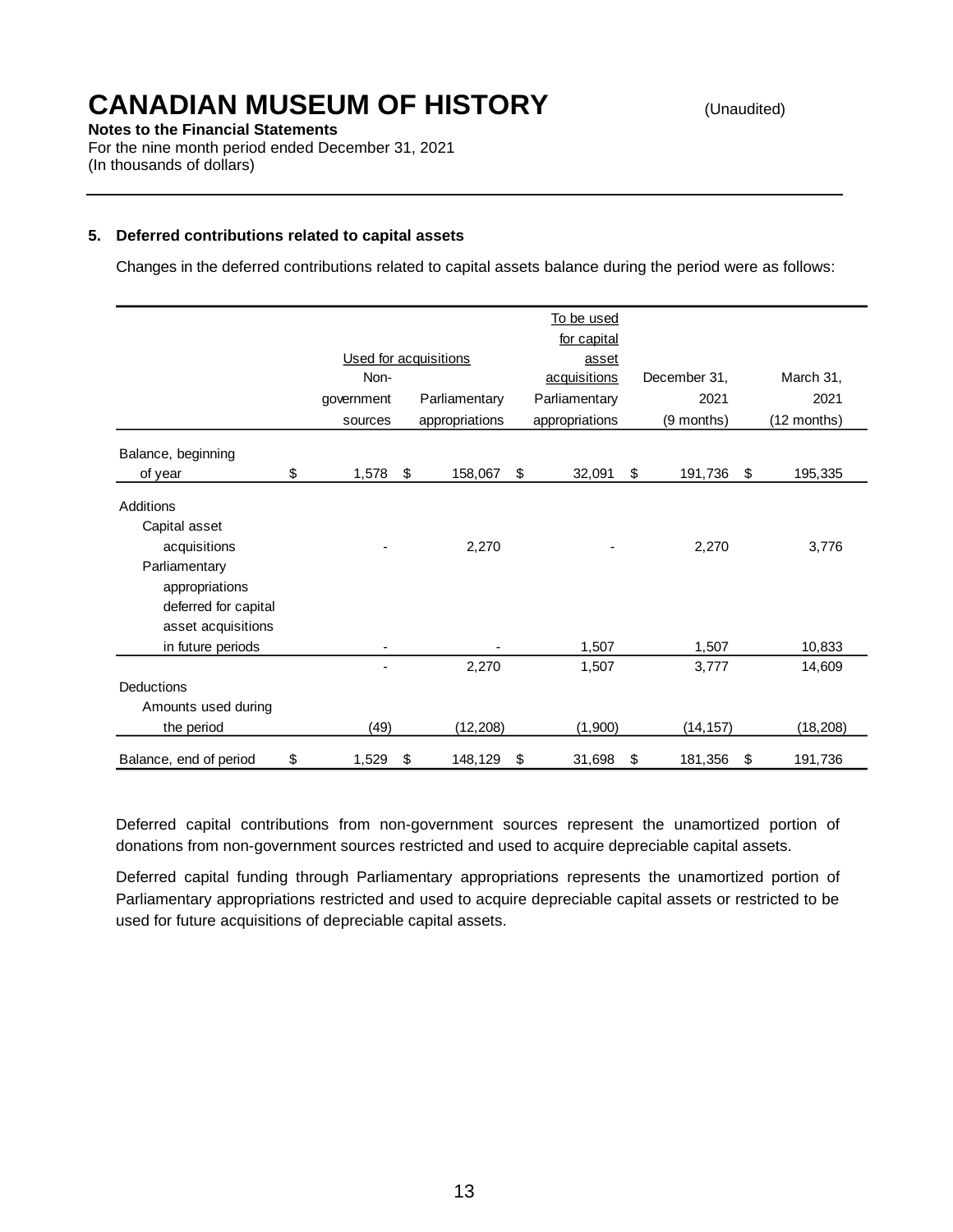**Notes to the Financial Statements**

For the nine month period ended December 31, 2021 (In thousands of dollars)

#### **5. Deferred contributions related to capital assets**

Changes in the deferred contributions related to capital assets balance during the period were as follows:

|                        |             |                         |                       | To be used     |               |               |
|------------------------|-------------|-------------------------|-----------------------|----------------|---------------|---------------|
|                        |             |                         |                       | for capital    |               |               |
|                        |             |                         | Used for acquisitions | asset          |               |               |
|                        | Non-        |                         |                       | acquisitions   | December 31,  | March 31,     |
|                        | government  |                         | Parliamentary         | Parliamentary  | 2021          | 2021          |
|                        | sources     |                         | appropriations        | appropriations | (9 months)    | (12 months)   |
| Balance, beginning     |             |                         |                       |                |               |               |
| of year                | \$<br>1,578 | $\sqrt[6]{\frac{1}{2}}$ | 158,067               | \$<br>32,091   | \$<br>191,736 | \$<br>195,335 |
| Additions              |             |                         |                       |                |               |               |
| Capital asset          |             |                         |                       |                |               |               |
| acquisitions           |             |                         | 2,270                 |                | 2,270         | 3,776         |
| Parliamentary          |             |                         |                       |                |               |               |
| appropriations         |             |                         |                       |                |               |               |
| deferred for capital   |             |                         |                       |                |               |               |
| asset acquisitions     |             |                         |                       |                |               |               |
| in future periods      |             |                         |                       | 1,507          | 1,507         | 10,833        |
|                        |             |                         | 2,270                 | 1,507          | 3,777         | 14,609        |
| <b>Deductions</b>      |             |                         |                       |                |               |               |
| Amounts used during    |             |                         |                       |                |               |               |
| the period             | (49)        |                         | (12, 208)             | (1,900)        | (14, 157)     | (18, 208)     |
| Balance, end of period | \$<br>1,529 | \$                      | 148,129               | \$<br>31,698   | \$<br>181,356 | \$<br>191,736 |

Deferred capital contributions from non-government sources represent the unamortized portion of donations from non-government sources restricted and used to acquire depreciable capital assets.

Deferred capital funding through Parliamentary appropriations represents the unamortized portion of Parliamentary appropriations restricted and used to acquire depreciable capital assets or restricted to be used for future acquisitions of depreciable capital assets.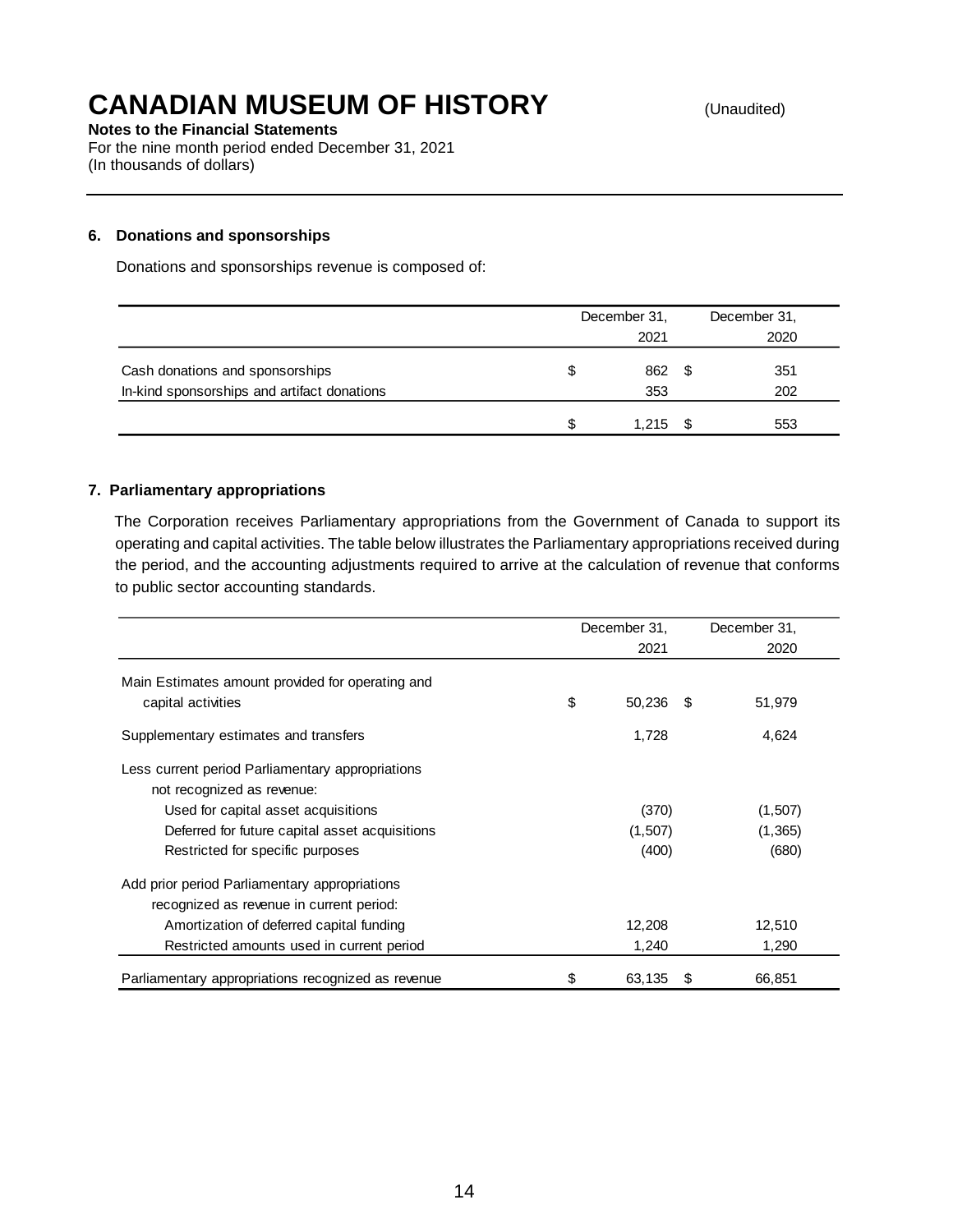**Notes to the Financial Statements**

For the nine month period ended December 31, 2021 (In thousands of dollars)

#### **6. Donations and sponsorships**

Donations and sponsorships revenue is composed of:

|                                             | December 31, | December 31, |
|---------------------------------------------|--------------|--------------|
|                                             | 2021         | 2020         |
| Cash donations and sponsorships             | 862          | 351          |
| In-kind sponsorships and artifact donations | 353          | 202          |
|                                             | 1.215        | 553          |

#### **7. Parliamentary appropriations**

The Corporation receives Parliamentary appropriations from the Government of Canada to support its operating and capital activities. The table below illustrates the Parliamentary appropriations received during the period, and the accounting adjustments required to arrive at the calculation of revenue that conforms to public sector accounting standards.

|                                                    | December 31, |         |      | December 31, |
|----------------------------------------------------|--------------|---------|------|--------------|
|                                                    |              | 2021    |      | 2020         |
| Main Estimates amount provided for operating and   |              |         |      |              |
| capital activities                                 | \$           | 50,236  | - \$ | 51,979       |
| Supplementary estimates and transfers              |              | 1,728   |      | 4,624        |
| Less current period Parliamentary appropriations   |              |         |      |              |
| not recognized as revenue:                         |              |         |      |              |
| Used for capital asset acquisitions                |              | (370)   |      | (1,507)      |
| Deferred for future capital asset acquisitions     |              | (1,507) |      | (1,365)      |
| Restricted for specific purposes                   |              | (400)   |      | (680)        |
| Add prior period Parliamentary appropriations      |              |         |      |              |
| recognized as revenue in current period:           |              |         |      |              |
| Amortization of deferred capital funding           |              | 12,208  |      | 12,510       |
| Restricted amounts used in current period          |              | 1,240   |      | 1,290        |
| Parliamentary appropriations recognized as revenue | \$           | 63,135  | £.   | 66,851       |